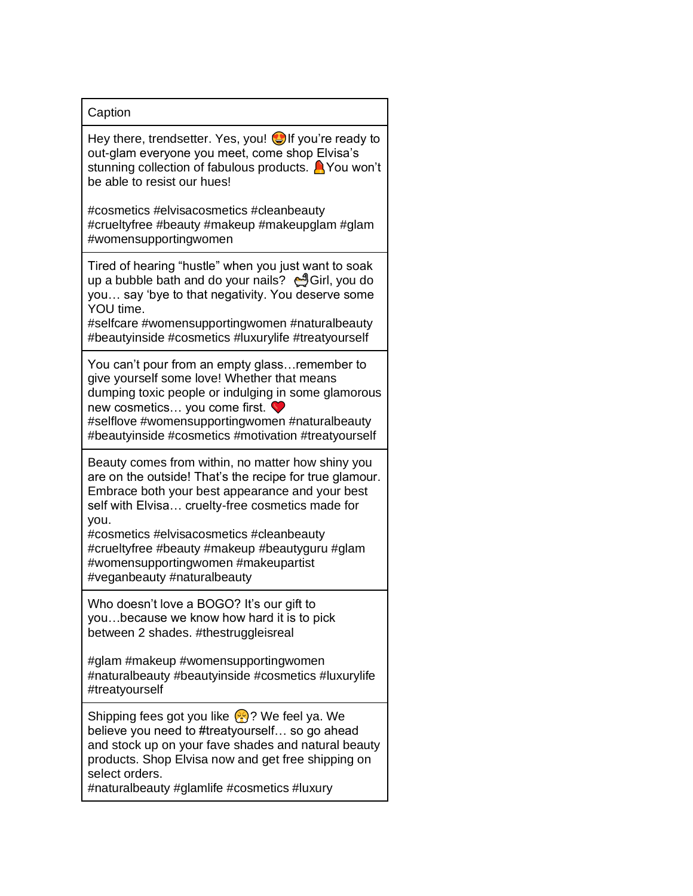## **Caption**

Hey there, trendsetter. Yes, you!  $\bigcirc$  if you're ready to out-glam everyone you meet, come shop Elvisa's stunning collection of fabulous products. A You won't be able to resist our hues!

#cosmetics #elvisacosmetics #cleanbeauty #crueltyfree #beauty #makeup #makeupglam #glam #womensupportingwomen

Tired of hearing "hustle" when you just want to soak up a bubble bath and do your nails? 
<sub>d</sub>Girl, you do you… say 'bye to that negativity. You deserve some YOU time.

#selfcare #womensupportingwomen #naturalbeauty #beautyinside #cosmetics #luxurylife #treatyourself

You can't pour from an empty glass…remember to give yourself some love! Whether that means dumping toxic people or indulging in some glamorous new cosmetics… you come first.

#selflove #womensupportingwomen #naturalbeauty #beautyinside #cosmetics #motivation #treatyourself

Beauty comes from within, no matter how shiny you are on the outside! That's the recipe for true glamour. Embrace both your best appearance and your best self with Elvisa… cruelty-free cosmetics made for you.

#cosmetics #elvisacosmetics #cleanbeauty #crueltyfree #beauty #makeup #beautyguru #glam #womensupportingwomen #makeupartist #veganbeauty #naturalbeauty

Who doesn't love a BOGO? It's our gift to you…because we know how hard it is to pick between 2 shades. #thestruggleisreal

#glam #makeup #womensupportingwomen #naturalbeauty #beautyinside #cosmetics #luxurylife #treatyourself

Shipping fees got you like  $\binom{2}{1}$ ? We feel ya. We believe you need to #treatyourself… so go ahead and stock up on your fave shades and natural beauty products. Shop Elvisa now and get free shipping on select orders.

#naturalbeauty #glamlife #cosmetics #luxury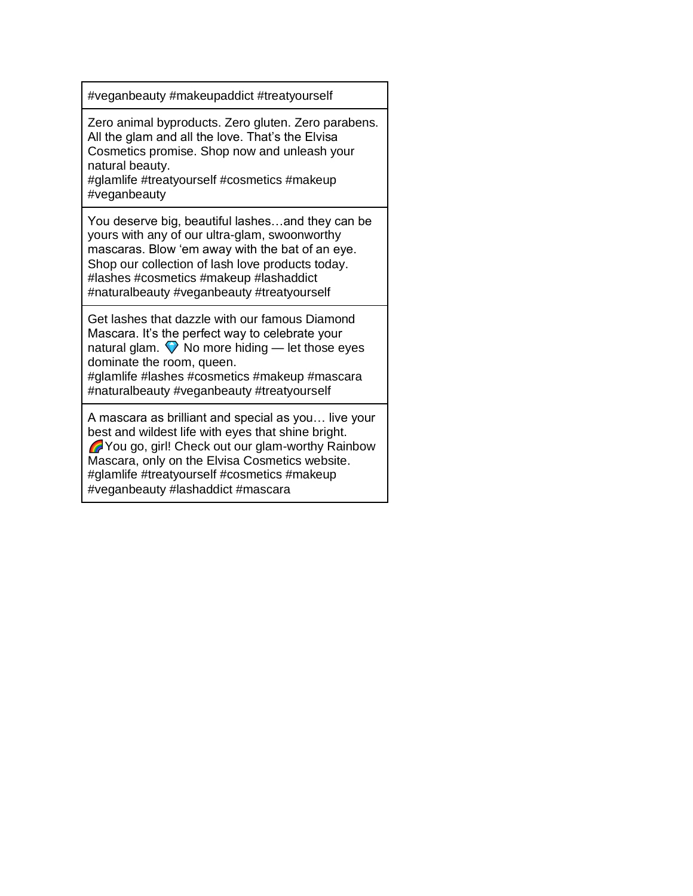#veganbeauty #makeupaddict #treatyourself

Zero animal byproducts. Zero gluten. Zero parabens. All the glam and all the love. That's the Elvisa Cosmetics promise. Shop now and unleash your natural beauty.

#glamlife #treatyourself #cosmetics #makeup #veganbeauty

You deserve big, beautiful lashes…and they can be yours with any of our ultra-glam, swoonworthy mascaras. Blow 'em away with the bat of an eye. Shop our collection of lash love products today. #lashes #cosmetics #makeup #lashaddict #naturalbeauty #veganbeauty #treatyourself

Get lashes that dazzle with our famous Diamond Mascara. It's the perfect way to celebrate your natural glam.  $\bigtriangledown$  No more hiding — let those eyes dominate the room, queen.

#glamlife #lashes #cosmetics #makeup #mascara #naturalbeauty #veganbeauty #treatyourself

A mascara as brilliant and special as you… live your best and wildest life with eyes that shine bright. You go, girl! Check out our glam-worthy Rainbow Mascara, only on the Elvisa Cosmetics website. #glamlife #treatyourself #cosmetics #makeup #veganbeauty #lashaddict #mascara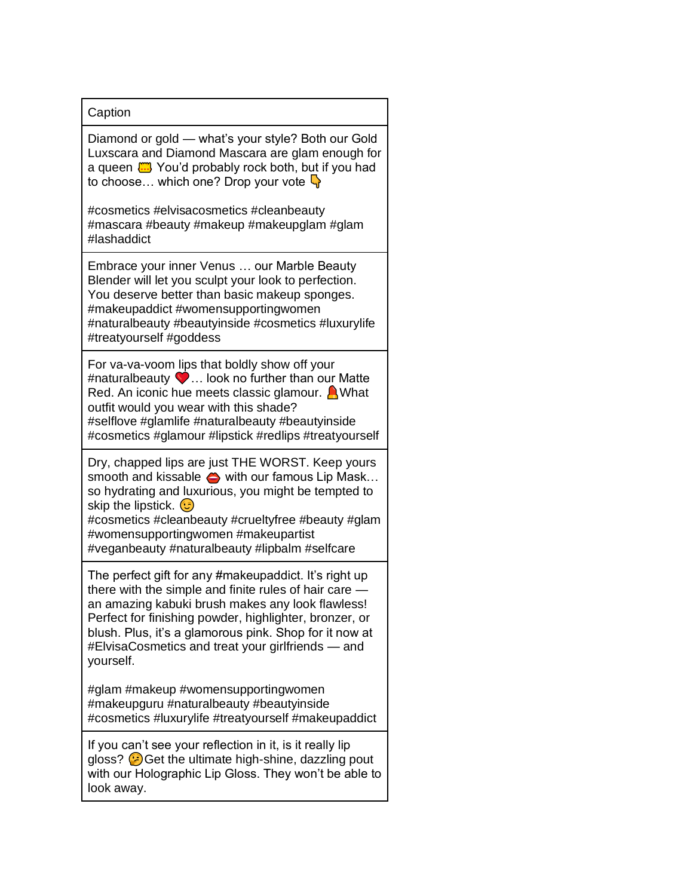## **Caption**

Diamond or gold — what's your style? Both our Gold Luxscara and Diamond Mascara are glam enough for a queen  $\frac{mn}{mn}$  You'd probably rock both, but if you had to choose... which one? Drop your vote  $\mathbb{Q}$ 

#cosmetics #elvisacosmetics #cleanbeauty #mascara #beauty #makeup #makeupglam #glam #lashaddict

Embrace your inner Venus … our Marble Beauty Blender will let you sculpt your look to perfection. You deserve better than basic makeup sponges. #makeupaddict #womensupportingwomen #naturalbeauty #beautyinside #cosmetics #luxurylife #treatyourself #goddess

For va-va-voom lips that boldly show off your #naturalbeauty … look no further than our Matte Red. An iconic hue meets classic glamour.  $\bigcap$  What outfit would you wear with this shade? #selflove #glamlife #naturalbeauty #beautyinside #cosmetics #glamour #lipstick #redlips #treatyourself

Dry, chapped lips are just THE WORST. Keep yours smooth and kissable  $\Leftrightarrow$  with our famous Lip Mask... so hydrating and luxurious, you might be tempted to skip the lipstick.  $\odot$ 

#cosmetics #cleanbeauty #crueltyfree #beauty #glam #womensupportingwomen #makeupartist #veganbeauty #naturalbeauty #lipbalm #selfcare

The perfect gift for any #makeupaddict. It's right up there with the simple and finite rules of hair care an amazing kabuki brush makes any look flawless! Perfect for finishing powder, highlighter, bronzer, or blush. Plus, it's a glamorous pink. Shop for it now at #ElvisaCosmetics and treat your girlfriends — and yourself.

#glam #makeup #womensupportingwomen #makeupguru #naturalbeauty #beautyinside #cosmetics #luxurylife #treatyourself #makeupaddict

If you can't see your reflection in it, is it really lip gloss?  $\bigodot$  Get the ultimate high-shine, dazzling pout with our Holographic Lip Gloss. They won't be able to look away.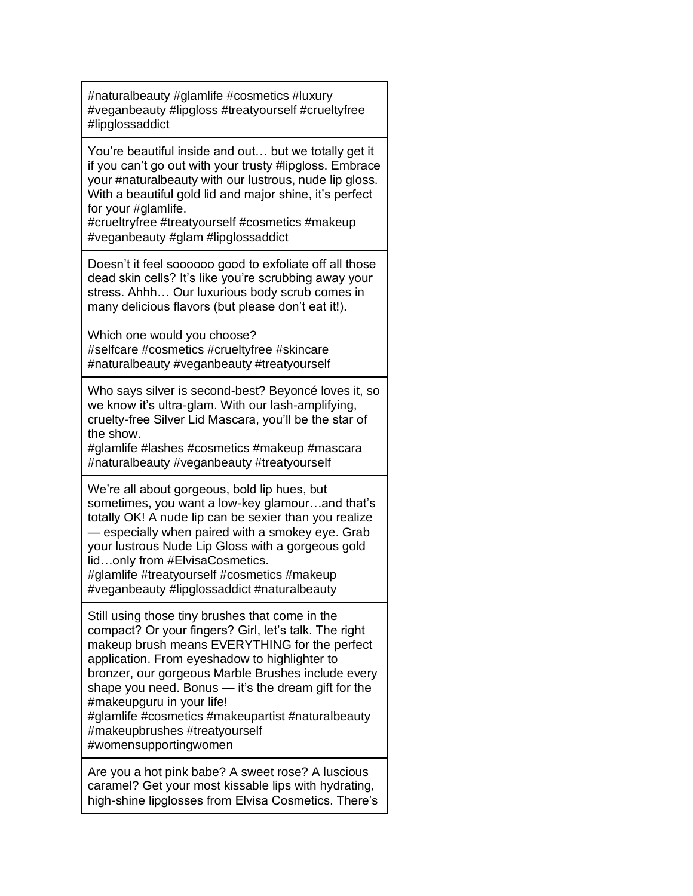#naturalbeauty #glamlife #cosmetics #luxury #veganbeauty #lipgloss #treatyourself #crueltyfree #lipglossaddict

You're beautiful inside and out… but we totally get it if you can't go out with your trusty #lipgloss. Embrace your #naturalbeauty with our lustrous, nude lip gloss. With a beautiful gold lid and major shine, it's perfect for your #glamlife.

#crueltryfree #treatyourself #cosmetics #makeup #veganbeauty #glam #lipglossaddict

Doesn't it feel soooooo good to exfoliate off all those dead skin cells? It's like you're scrubbing away your stress. Ahhh… Our luxurious body scrub comes in many delicious flavors (but please don't eat it!).

Which one would you choose? #selfcare #cosmetics #crueltyfree #skincare #naturalbeauty #veganbeauty #treatyourself

Who says silver is second-best? Beyoncé loves it, so we know it's ultra-glam. With our lash-amplifying, cruelty-free Silver Lid Mascara, you'll be the star of the show.

#glamlife #lashes #cosmetics #makeup #mascara #naturalbeauty #veganbeauty #treatyourself

We're all about gorgeous, bold lip hues, but sometimes, you want a low-key glamour…and that's totally OK! A nude lip can be sexier than you realize — especially when paired with a smokey eye. Grab your lustrous Nude Lip Gloss with a gorgeous gold lid…only from #ElvisaCosmetics.

#glamlife #treatyourself #cosmetics #makeup #veganbeauty #lipglossaddict #naturalbeauty

Still using those tiny brushes that come in the compact? Or your fingers? Girl, let's talk. The right makeup brush means EVERYTHING for the perfect application. From eyeshadow to highlighter to bronzer, our gorgeous Marble Brushes include every shape you need. Bonus — it's the dream gift for the #makeupguru in your life! #glamlife #cosmetics #makeupartist #naturalbeauty

#makeupbrushes #treatyourself

#womensupportingwomen

Are you a hot pink babe? A sweet rose? A luscious caramel? Get your most kissable lips with hydrating, high-shine lipglosses from Elvisa Cosmetics. There's